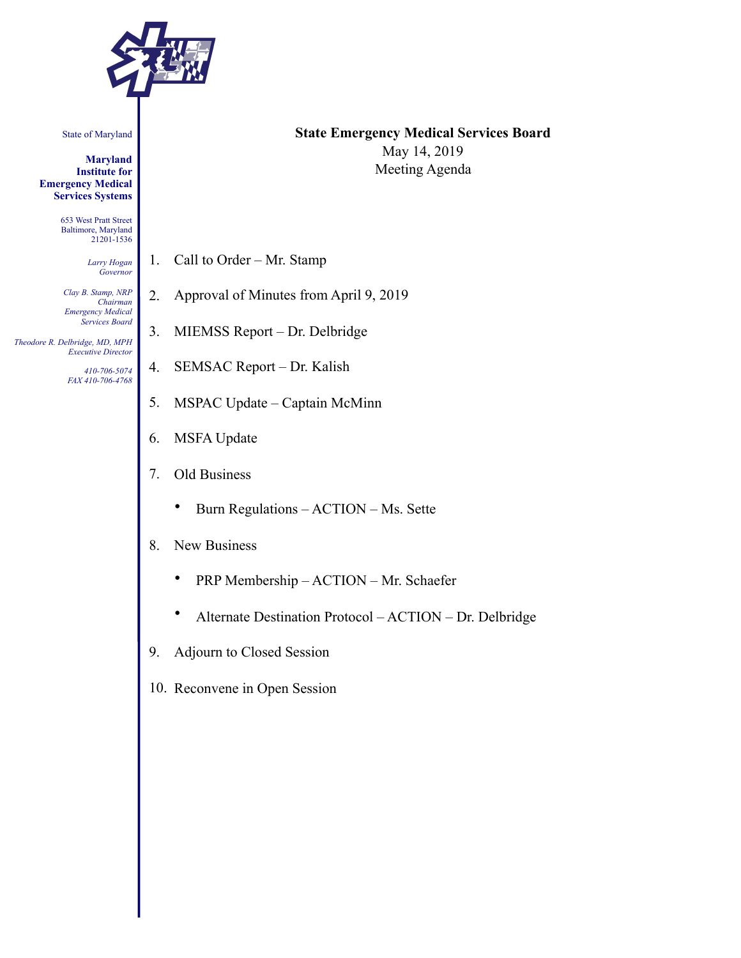

State of Maryland

**Maryland Institute for Emergency Medical Services Systems** 

> 653 West Pratt Street Baltimore, Maryland 21201-1536

> > *Larry Hogan Governor*

*Clay B. Stamp, NRP Chairman Emergency Medical Services Board* 

 *Theodore R. Delbridge, MD, MPH Executive Director*

> *410-706-5074 FAX 410-706-4768*

## **State Emergency Medical Services Board**  May 14, 2019 Meeting Agenda

- 1. Call to Order Mr. Stamp
- 2. Approval of Minutes from April 9, 2019
- 3. MIEMSS Report Dr. Delbridge
- 4. SEMSAC Report Dr. Kalish
- 5. MSPAC Update Captain McMinn
- 6. MSFA Update
- 7. Old Business
	- Burn Regulations ACTION Ms. Sette
- 8. New Business
	- PRP Membership ACTION Mr. Schaefer
	- Alternate Destination Protocol ACTION Dr. Delbridge
- 9. Adjourn to Closed Session
- 10. Reconvene in Open Session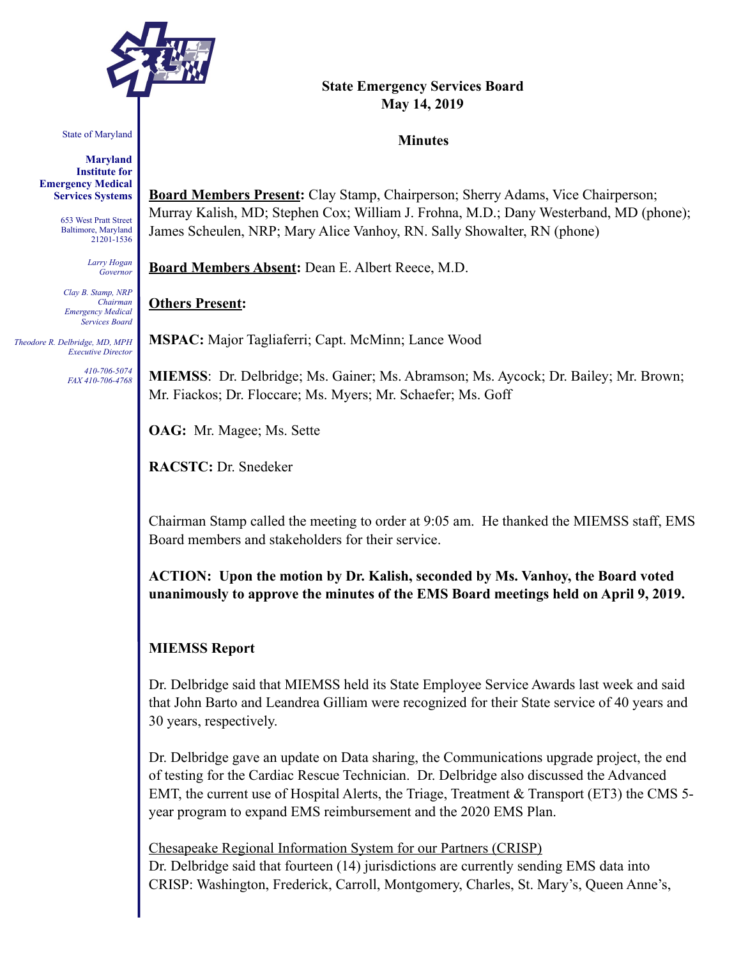

State of Maryland

**Maryland Institute for Emergency Medical Services Systems** 

> 653 West Pratt Street Baltimore, Maryland 21201-1536

> > *Larry Hogan Governor*

*Clay B. Stamp, NRP Chairman Emergency Medical Services Board* 

 *Theodore R. Delbridge, MD, MPH Executive Director*

> *410-706-5074 FAX 410-706-4768*

## **State Emergency Services Board May 14, 2019**

#### **Minutes**

**Board Members Present:** Clay Stamp, Chairperson; Sherry Adams, Vice Chairperson; Murray Kalish, MD; Stephen Cox; William J. Frohna, M.D.; Dany Westerband, MD (phone); James Scheulen, NRP; Mary Alice Vanhoy, RN. Sally Showalter, RN (phone)

**Board Members Absent:** Dean E. Albert Reece, M.D.

## **Others Present:**

**MSPAC:** Major Tagliaferri; Capt. McMinn; Lance Wood

**MIEMSS**: Dr. Delbridge; Ms. Gainer; Ms. Abramson; Ms. Aycock; Dr. Bailey; Mr. Brown; Mr. Fiackos; Dr. Floccare; Ms. Myers; Mr. Schaefer; Ms. Goff

**OAG:** Mr. Magee; Ms. Sette

**RACSTC:** Dr. Snedeker

Chairman Stamp called the meeting to order at 9:05 am. He thanked the MIEMSS staff, EMS Board members and stakeholders for their service.

**ACTION: Upon the motion by Dr. Kalish, seconded by Ms. Vanhoy, the Board voted unanimously to approve the minutes of the EMS Board meetings held on April 9, 2019.** 

## **MIEMSS Report**

Dr. Delbridge said that MIEMSS held its State Employee Service Awards last week and said that John Barto and Leandrea Gilliam were recognized for their State service of 40 years and 30 years, respectively.

Dr. Delbridge gave an update on Data sharing, the Communications upgrade project, the end of testing for the Cardiac Rescue Technician. Dr. Delbridge also discussed the Advanced EMT, the current use of Hospital Alerts, the Triage, Treatment & Transport (ET3) the CMS 5 year program to expand EMS reimbursement and the 2020 EMS Plan.

Chesapeake Regional Information System for our Partners (CRISP) Dr. Delbridge said that fourteen (14) jurisdictions are currently sending EMS data into CRISP: Washington, Frederick, Carroll, Montgomery, Charles, St. Mary's, Queen Anne's,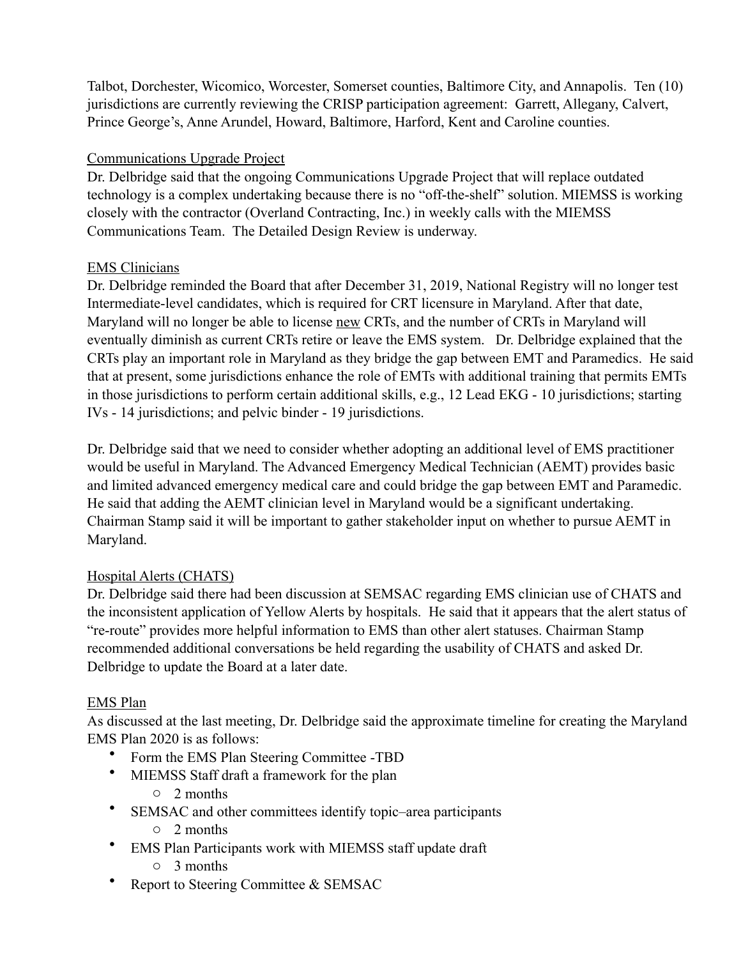Talbot, Dorchester, Wicomico, Worcester, Somerset counties, Baltimore City, and Annapolis. Ten (10) jurisdictions are currently reviewing the CRISP participation agreement: Garrett, Allegany, Calvert, Prince George's, Anne Arundel, Howard, Baltimore, Harford, Kent and Caroline counties.

## Communications Upgrade Project

Dr. Delbridge said that the ongoing Communications Upgrade Project that will replace outdated technology is a complex undertaking because there is no "off-the-shelf" solution. MIEMSS is working closely with the contractor (Overland Contracting, Inc.) in weekly calls with the MIEMSS Communications Team. The Detailed Design Review is underway.

## EMS Clinicians

Dr. Delbridge reminded the Board that after December 31, 2019, National Registry will no longer test Intermediate-level candidates, which is required for CRT licensure in Maryland. After that date, Maryland will no longer be able to license new CRTs, and the number of CRTs in Maryland will eventually diminish as current CRTs retire or leave the EMS system. Dr. Delbridge explained that the CRTs play an important role in Maryland as they bridge the gap between EMT and Paramedics. He said that at present, some jurisdictions enhance the role of EMTs with additional training that permits EMTs in those jurisdictions to perform certain additional skills, e.g., 12 Lead EKG - 10 jurisdictions; starting IVs - 14 jurisdictions; and pelvic binder - 19 jurisdictions.

Dr. Delbridge said that we need to consider whether adopting an additional level of EMS practitioner would be useful in Maryland. The Advanced Emergency Medical Technician (AEMT) provides basic and limited advanced emergency medical care and could bridge the gap between EMT and Paramedic. He said that adding the AEMT clinician level in Maryland would be a significant undertaking. Chairman Stamp said it will be important to gather stakeholder input on whether to pursue AEMT in Maryland.

## Hospital Alerts (CHATS)

Dr. Delbridge said there had been discussion at SEMSAC regarding EMS clinician use of CHATS and the inconsistent application of Yellow Alerts by hospitals. He said that it appears that the alert status of "re-route" provides more helpful information to EMS than other alert statuses. Chairman Stamp recommended additional conversations be held regarding the usability of CHATS and asked Dr. Delbridge to update the Board at a later date.

#### EMS Plan

As discussed at the last meeting, Dr. Delbridge said the approximate timeline for creating the Maryland EMS Plan 2020 is as follows:

- Form the EMS Plan Steering Committee -TBD
- MIEMSS Staff draft a framework for the plan
	- o 2 months
- SEMSAC and other committees identify topic–area participants
	- o 2 months
- EMS Plan Participants work with MIEMSS staff update draft
	- o 3 months
- Report to Steering Committee & SEMSAC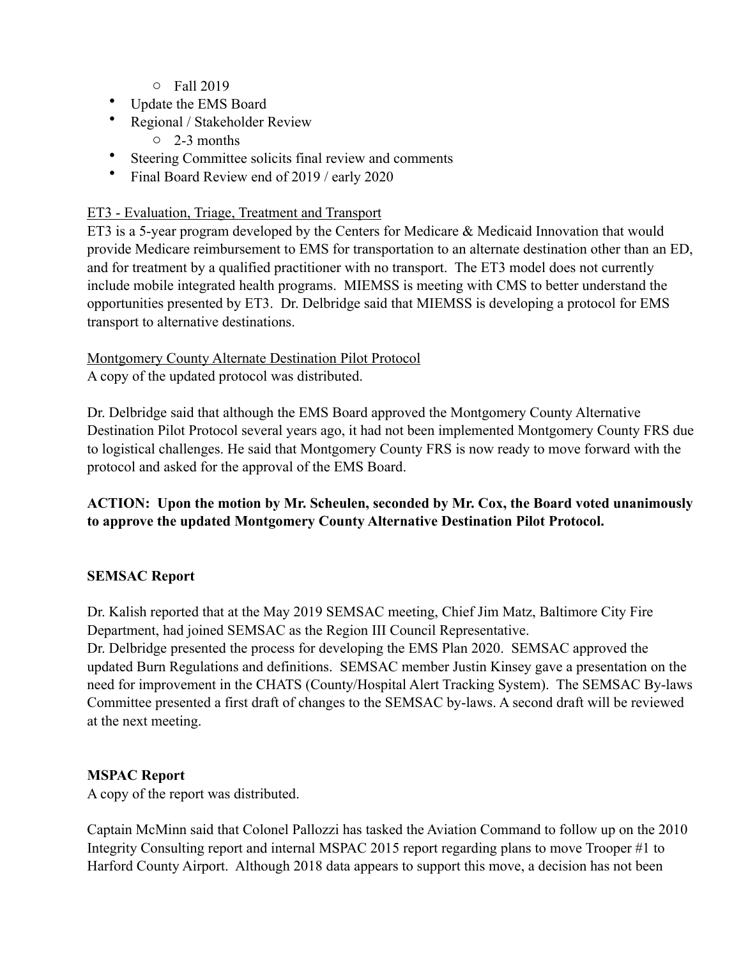- o Fall 2019
- Update the EMS Board
- Regional / Stakeholder Review
	- o 2-3 months
- Steering Committee solicits final review and comments
- Final Board Review end of 2019 / early 2020

## ET3 - Evaluation, Triage, Treatment and Transport

ET3 is a 5-year program developed by the Centers for Medicare & Medicaid Innovation that would provide Medicare reimbursement to EMS for transportation to an alternate destination other than an ED, and for treatment by a qualified practitioner with no transport. The ET3 model does not currently include mobile integrated health programs. MIEMSS is meeting with CMS to better understand the opportunities presented by ET3. Dr. Delbridge said that MIEMSS is developing a protocol for EMS transport to alternative destinations.

# Montgomery County Alternate Destination Pilot Protocol

A copy of the updated protocol was distributed.

Dr. Delbridge said that although the EMS Board approved the Montgomery County Alternative Destination Pilot Protocol several years ago, it had not been implemented Montgomery County FRS due to logistical challenges. He said that Montgomery County FRS is now ready to move forward with the protocol and asked for the approval of the EMS Board.

# **ACTION: Upon the motion by Mr. Scheulen, seconded by Mr. Cox, the Board voted unanimously to approve the updated Montgomery County Alternative Destination Pilot Protocol.**

## **SEMSAC Report**

Dr. Kalish reported that at the May 2019 SEMSAC meeting, Chief Jim Matz, Baltimore City Fire Department, had joined SEMSAC as the Region III Council Representative.

Dr. Delbridge presented the process for developing the EMS Plan 2020. SEMSAC approved the updated Burn Regulations and definitions. SEMSAC member Justin Kinsey gave a presentation on the need for improvement in the CHATS (County/Hospital Alert Tracking System). The SEMSAC By-laws Committee presented a first draft of changes to the SEMSAC by-laws. A second draft will be reviewed at the next meeting.

# **MSPAC Report**

A copy of the report was distributed.

Captain McMinn said that Colonel Pallozzi has tasked the Aviation Command to follow up on the 2010 Integrity Consulting report and internal MSPAC 2015 report regarding plans to move Trooper #1 to Harford County Airport. Although 2018 data appears to support this move, a decision has not been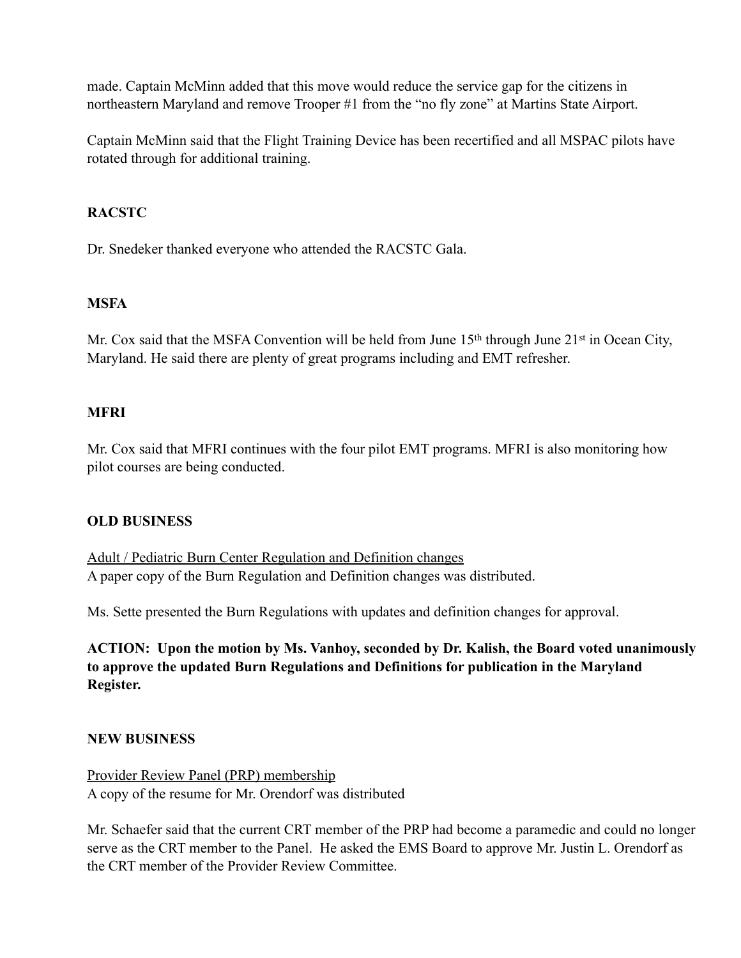made. Captain McMinn added that this move would reduce the service gap for the citizens in northeastern Maryland and remove Trooper #1 from the "no fly zone" at Martins State Airport.

Captain McMinn said that the Flight Training Device has been recertified and all MSPAC pilots have rotated through for additional training.

## **RACSTC**

Dr. Snedeker thanked everyone who attended the RACSTC Gala.

## **MSFA**

Mr. Cox said that the MSFA Convention will be held from June  $15<sup>th</sup>$  through June  $21<sup>st</sup>$  in Ocean City, Maryland. He said there are plenty of great programs including and EMT refresher.

## **MFRI**

Mr. Cox said that MFRI continues with the four pilot EMT programs. MFRI is also monitoring how pilot courses are being conducted.

#### **OLD BUSINESS**

Adult / Pediatric Burn Center Regulation and Definition changes A paper copy of the Burn Regulation and Definition changes was distributed.

Ms. Sette presented the Burn Regulations with updates and definition changes for approval.

**ACTION: Upon the motion by Ms. Vanhoy, seconded by Dr. Kalish, the Board voted unanimously to approve the updated Burn Regulations and Definitions for publication in the Maryland Register.** 

#### **NEW BUSINESS**

Provider Review Panel (PRP) membership A copy of the resume for Mr. Orendorf was distributed

Mr. Schaefer said that the current CRT member of the PRP had become a paramedic and could no longer serve as the CRT member to the Panel. He asked the EMS Board to approve Mr. Justin L. Orendorf as the CRT member of the Provider Review Committee.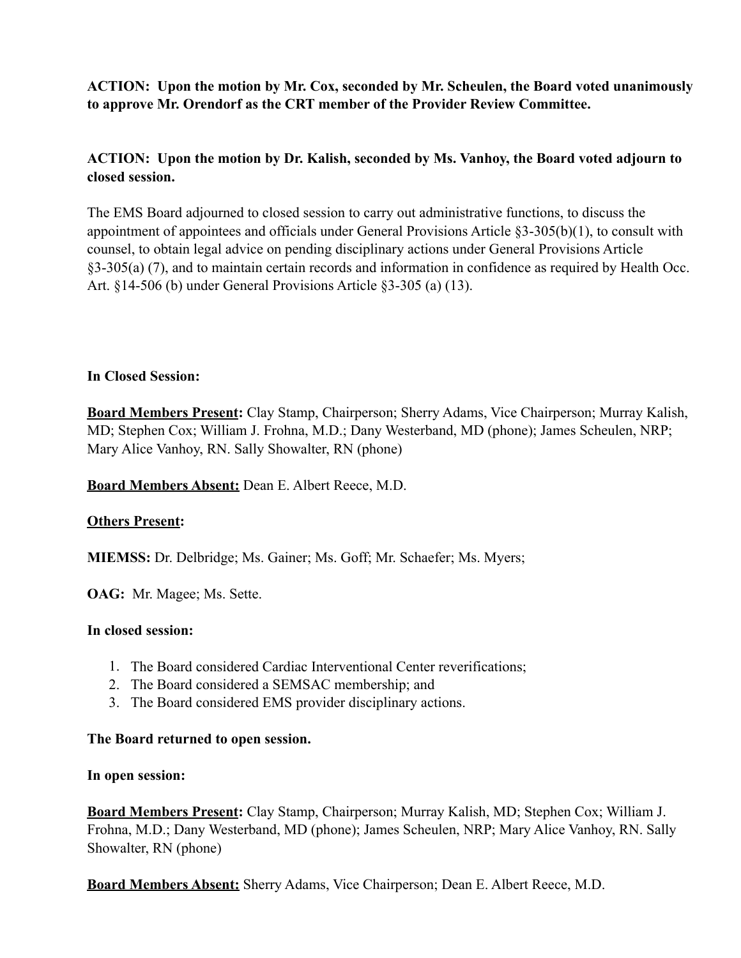## **ACTION: Upon the motion by Mr. Cox, seconded by Mr. Scheulen, the Board voted unanimously to approve Mr. Orendorf as the CRT member of the Provider Review Committee.**

## **ACTION: Upon the motion by Dr. Kalish, seconded by Ms. Vanhoy, the Board voted adjourn to closed session.**

The EMS Board adjourned to closed session to carry out administrative functions, to discuss the appointment of appointees and officials under General Provisions Article §3-305(b)(1), to consult with counsel, to obtain legal advice on pending disciplinary actions under General Provisions Article §3-305(a) (7), and to maintain certain records and information in confidence as required by Health Occ. Art. §14-506 (b) under General Provisions Article §3-305 (a) (13).

#### **In Closed Session:**

**Board Members Present:** Clay Stamp, Chairperson; Sherry Adams, Vice Chairperson; Murray Kalish, MD; Stephen Cox; William J. Frohna, M.D.; Dany Westerband, MD (phone); James Scheulen, NRP; Mary Alice Vanhoy, RN. Sally Showalter, RN (phone)

**Board Members Absent:** Dean E. Albert Reece, M.D.

#### **Others Present:**

**MIEMSS:** Dr. Delbridge; Ms. Gainer; Ms. Goff; Mr. Schaefer; Ms. Myers;

**OAG:** Mr. Magee; Ms. Sette.

#### **In closed session:**

- 1. The Board considered Cardiac Interventional Center reverifications;
- 2. The Board considered a SEMSAC membership; and
- 3. The Board considered EMS provider disciplinary actions.

#### **The Board returned to open session.**

#### **In open session:**

**Board Members Present:** Clay Stamp, Chairperson; Murray Kalish, MD; Stephen Cox; William J. Frohna, M.D.; Dany Westerband, MD (phone); James Scheulen, NRP; Mary Alice Vanhoy, RN. Sally Showalter, RN (phone)

**Board Members Absent:** Sherry Adams, Vice Chairperson; Dean E. Albert Reece, M.D.